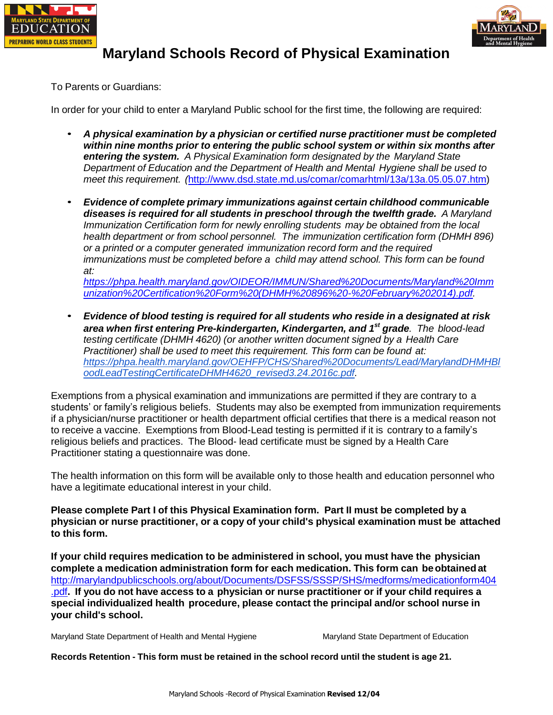



## **Maryland Schools Record of Physical Examination**

To Parents or Guardians:

In order for your child to enter a Maryland Public school for the first time, the following are required:

- *A physical examination by a physician or certified nurse practitioner must be completed within nine months prior to entering the public school system or within six months after entering the system. A Physical Examination form designated by the Maryland State Department of Education and the Department of Health and Mental Hygiene shall be used to meet this requirement. (*[http://www.dsd.state.md.us/comar/comarhtml/13a/13a.05.05.07.htm\)](http://www.dsd.state.md.us/comar/comarhtml/13a/13a.05.05.07.htm)
- *Evidence of complete primary immunizations against certain childhood communicable diseases is required for all students in preschool through the twelfth grade. A Maryland Immunization Certification form for newly enrolling students may be obtained from the local health department or from school personnel. The immunization certification form (DHMH 896) or a printed or a computer generated immunization record form and the required immunizations must be completed before a child may attend school. This form can be found at:*

*[https://phpa.health.maryland.gov/OIDEOR/IMMUN/Shared%20Documents/Maryland%20Imm](https://phpa.health.maryland.gov/OIDEOR/IMMUN/Shared%20Documents/Maryland%20Immunization%20Certification%20Form%20(DHMH%20896%20-%20February%202014).pdf) [unization%20Certification%20Form%20\(DHMH%20896%20-%20February%202014\).pdf.](https://phpa.health.maryland.gov/OIDEOR/IMMUN/Shared%20Documents/Maryland%20Immunization%20Certification%20Form%20(DHMH%20896%20-%20February%202014).pdf)*

• *Evidence of blood testing is required for all students who reside in a designated at risk area when first entering Pre-kindergarten, Kindergarten, and 1st grade. The blood-lead testing certificate (DHMH 4620) (or another written document signed by a Health Care Practitioner) shall be used to meet this requirement. This form can be found at: [https://phpa.health.maryland.gov/OEHFP/CHS/Shared%20Documents/Lead/MarylandDHMHBl](https://phpa.health.maryland.gov/OEHFP/CHS/Shared%20Documents/Lead/MarylandDHMHBloodLeadTestingCertificateDHMH4620_revised3.24.2016c.pdf) [oodLeadTestingCertificateDHMH4620\\_revised3.24.2016c.pdf.](https://phpa.health.maryland.gov/OEHFP/CHS/Shared%20Documents/Lead/MarylandDHMHBloodLeadTestingCertificateDHMH4620_revised3.24.2016c.pdf)*

Exemptions from a physical examination and immunizations are permitted if they are contrary to a students' or family's religious beliefs. Students may also be exempted from immunization requirements if a physician/nurse practitioner or health department official certifies that there is a medical reason not to receive a vaccine. Exemptions from Blood-Lead testing is permitted if it is contrary to a family's religious beliefs and practices. The Blood- lead certificate must be signed by a Health Care Practitioner stating a questionnaire was done.

The health information on this form will be available only to those health and education personnel who have a legitimate educational interest in your child.

**Please complete Part I of this Physical Examination form. Part II must be completed by a physician or nurse practitioner, or a copy of your child's physical examination must be attached to this form.**

**If your child requires medication to be administered in school, you must have the physician complete a medication administration form for each medication. This form can be obtained at** [http://marylandpublicschools.org/about/Documents/DSFSS/SSSP/SHS/medforms/medicationform404](http://marylandpublicschools.org/about/Documents/DSFSS/SSSP/SHS/medforms/medicationform404.pdf) [.pdf](http://marylandpublicschools.org/about/Documents/DSFSS/SSSP/SHS/medforms/medicationform404.pdf)**. If you do not have access to a physician or nurse practitioner or if your child requires a special individualized health procedure, please contact the principal and/or school nurse in your child's school.**

Maryland State Department of Health and Mental Hygiene Maryland State Department of Education

**Records Retention - This form must be retained in the school record until the student is age 21.**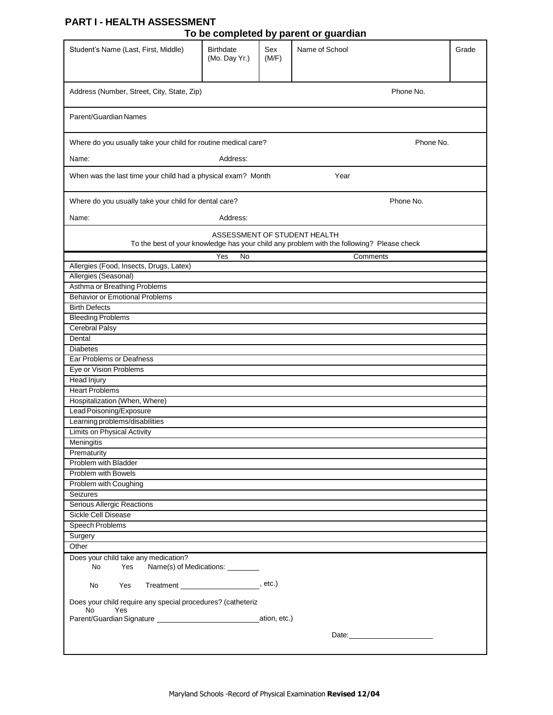## **PART I - HEALTH ASSESSMENT**

|  | To be completed by parent or guardian |
|--|---------------------------------------|
|  |                                       |

|                                                                          |                            |              | ro be completed by parent or guardian                                                                                     |           |
|--------------------------------------------------------------------------|----------------------------|--------------|---------------------------------------------------------------------------------------------------------------------------|-----------|
| Student's Name (Last, First, Middle)                                     | Birthdate<br>(Mo. Day Yr.) | Sex<br>(M/F) | Name of School                                                                                                            | Grade     |
| Address (Number, Street, City, State, Zip)                               |                            |              | Phone No.                                                                                                                 |           |
| Parent/Guardian Names                                                    |                            |              |                                                                                                                           |           |
| Where do you usually take your child for routine medical care?           |                            |              |                                                                                                                           | Phone No. |
|                                                                          |                            |              |                                                                                                                           |           |
| Name:                                                                    | Address:                   |              |                                                                                                                           |           |
| When was the last time your child had a physical exam? Month             |                            |              | Year                                                                                                                      |           |
| Where do you usually take your child for dental care?                    |                            |              | Phone No.                                                                                                                 |           |
| Name:                                                                    | Address:                   |              |                                                                                                                           |           |
|                                                                          |                            |              | ASSESSMENT OF STUDENT HEALTH<br>To the best of your knowledge has your child any problem with the following? Please check |           |
|                                                                          | $\overline{N}$<br>Yes      |              | Comments                                                                                                                  |           |
| Allergies (Food, Insects, Drugs, Latex)                                  |                            |              |                                                                                                                           |           |
| Allergies (Seasonal)                                                     |                            |              |                                                                                                                           |           |
| Asthma or Breathing Problems                                             |                            |              |                                                                                                                           |           |
| <b>Behavior or Emotional Problems</b><br><b>Birth Defects</b>            |                            |              |                                                                                                                           |           |
| <b>Bleeding Problems</b>                                                 |                            |              |                                                                                                                           |           |
| Cerebral Palsy                                                           |                            |              |                                                                                                                           |           |
| Dental                                                                   |                            |              |                                                                                                                           |           |
| <b>Diabetes</b>                                                          |                            |              |                                                                                                                           |           |
| Ear Problems or Deafness                                                 |                            |              |                                                                                                                           |           |
| Eye or Vision Problems                                                   |                            |              |                                                                                                                           |           |
| <b>Head Injury</b>                                                       |                            |              |                                                                                                                           |           |
| <b>Heart Problems</b>                                                    |                            |              |                                                                                                                           |           |
| Hospitalization (When, Where)                                            |                            |              |                                                                                                                           |           |
| Lead Poisoning/Exposure                                                  |                            |              |                                                                                                                           |           |
| Learning problems/disabilities                                           |                            |              |                                                                                                                           |           |
| Limits on Physical Activity                                              |                            |              |                                                                                                                           |           |
| Meningitis                                                               |                            |              |                                                                                                                           |           |
| Prematurity                                                              |                            |              |                                                                                                                           |           |
| Problem with Bladder                                                     |                            |              |                                                                                                                           |           |
| Problem with Bowels                                                      |                            |              |                                                                                                                           |           |
| Problem with Coughing                                                    |                            |              |                                                                                                                           |           |
| Seizures<br>Serious Allergic Reactions                                   |                            |              |                                                                                                                           |           |
| Sickle Cell Disease                                                      |                            |              |                                                                                                                           |           |
| <b>Speech Problems</b>                                                   |                            |              |                                                                                                                           |           |
| Surgery                                                                  |                            |              |                                                                                                                           |           |
| Other                                                                    |                            |              |                                                                                                                           |           |
| Does your child take any medication?                                     |                            |              |                                                                                                                           |           |
| Name(s) of Medications: ______<br>No<br>Yes                              |                            |              |                                                                                                                           |           |
| No<br>Yes                                                                |                            |              |                                                                                                                           |           |
| Does your child require any special procedures? (catheteriz<br>Yes<br>No |                            |              |                                                                                                                           |           |
|                                                                          |                            |              |                                                                                                                           |           |
|                                                                          |                            |              | Date: <u>___________________________</u>                                                                                  |           |
|                                                                          |                            |              |                                                                                                                           |           |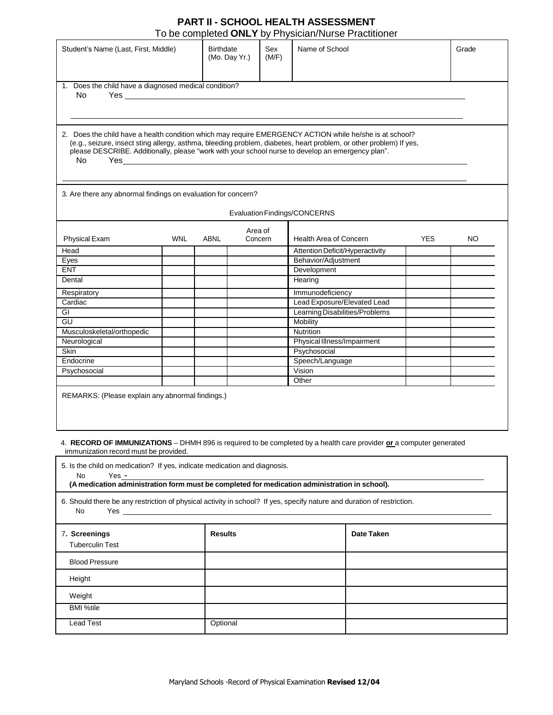## **PART II - SCHOOL HEALTH ASSESSMENT** To be completed **ONLY** by Physician/Nurse Practitioner

| Student's Name (Last, First, Middle)                                                                                                                                 |            | <b>Birthdate</b><br>(Mo. Day Yr.) |                    | Sex<br>(M/F) | Name of School                                                                                                                                                                                                                                                                                                                     |            | Grade |
|----------------------------------------------------------------------------------------------------------------------------------------------------------------------|------------|-----------------------------------|--------------------|--------------|------------------------------------------------------------------------------------------------------------------------------------------------------------------------------------------------------------------------------------------------------------------------------------------------------------------------------------|------------|-------|
| 1. Does the child have a diagnosed medical condition?<br>No                                                                                                          |            |                                   |                    |              |                                                                                                                                                                                                                                                                                                                                    |            |       |
| <b>No</b>                                                                                                                                                            |            |                                   |                    |              | 2. Does the child have a health condition which may require EMERGENCY ACTION while he/she is at school?<br>(e.g., seizure, insect sting allergy, asthma, bleeding problem, diabetes, heart problem, or other problem) If yes,<br>please DESCRIBE. Additionally, please "work with your school nurse to develop an emergency plan". |            |       |
| 3. Are there any abnormal findings on evaluation for concern?                                                                                                        |            |                                   |                    |              |                                                                                                                                                                                                                                                                                                                                    |            |       |
|                                                                                                                                                                      |            |                                   |                    |              | <b>Evaluation Findings/CONCERNS</b>                                                                                                                                                                                                                                                                                                |            |       |
| <b>Physical Exam</b>                                                                                                                                                 | <b>WNL</b> | <b>ABNL</b>                       | Area of<br>Concern |              | <b>Health Area of Concern</b>                                                                                                                                                                                                                                                                                                      | <b>YES</b> | NO.   |
|                                                                                                                                                                      |            |                                   |                    |              | Attention Deficit/Hyperactivity                                                                                                                                                                                                                                                                                                    |            |       |
|                                                                                                                                                                      |            |                                   |                    |              | Behavior/Adjustment                                                                                                                                                                                                                                                                                                                |            |       |
|                                                                                                                                                                      |            |                                   |                    |              | Development                                                                                                                                                                                                                                                                                                                        |            |       |
|                                                                                                                                                                      |            |                                   |                    |              | Hearing                                                                                                                                                                                                                                                                                                                            |            |       |
|                                                                                                                                                                      |            |                                   |                    |              |                                                                                                                                                                                                                                                                                                                                    |            |       |
|                                                                                                                                                                      |            |                                   |                    |              | Immunodeficiency                                                                                                                                                                                                                                                                                                                   |            |       |
|                                                                                                                                                                      |            |                                   |                    |              | Lead Exposure/Elevated Lead<br>Learning Disabilities/Problems                                                                                                                                                                                                                                                                      |            |       |
|                                                                                                                                                                      |            |                                   |                    |              | Mobility                                                                                                                                                                                                                                                                                                                           |            |       |
|                                                                                                                                                                      |            |                                   |                    |              | Nutrition                                                                                                                                                                                                                                                                                                                          |            |       |
|                                                                                                                                                                      |            |                                   |                    |              | Physical Illness/Impairment                                                                                                                                                                                                                                                                                                        |            |       |
|                                                                                                                                                                      |            |                                   |                    |              | Psychosocial                                                                                                                                                                                                                                                                                                                       |            |       |
|                                                                                                                                                                      |            |                                   |                    |              | Speech/Language                                                                                                                                                                                                                                                                                                                    |            |       |
| Head<br>Eyes<br><b>ENT</b><br>Dental<br>Respiratory<br>Cardiac<br><b>GI</b><br>GU<br>Musculoskeletal/orthopedic<br>Neurological<br>Skin<br>Endocrine<br>Psychosocial |            |                                   |                    |              | Vision                                                                                                                                                                                                                                                                                                                             |            |       |

## 4. **RECORD OF IMMUNIZATIONS** – DHMH 896 is required to be completed by a health care provider **or** a computer generated immunization record must be provided.

 $\mathsf{r}$ 

| 5. Is the child on medication? If yes, indicate medication and diagnosis.<br>Yes -<br>No<br>(A medication administration form must be completed for medication administration in school).                                                                                                                                                                           |                |            |  |  |  |  |
|---------------------------------------------------------------------------------------------------------------------------------------------------------------------------------------------------------------------------------------------------------------------------------------------------------------------------------------------------------------------|----------------|------------|--|--|--|--|
| 6. Should there be any restriction of physical activity in school? If yes, specify nature and duration of restriction.<br>No<br><b>Yes</b> and the set of the set of the set of the set of the set of the set of the set of the set of the set of the set of the set of the set of the set of the set of the set of the set of the set of the set of the set of the |                |            |  |  |  |  |
| 7. Screenings<br><b>Tuberculin Test</b>                                                                                                                                                                                                                                                                                                                             | <b>Results</b> | Date Taken |  |  |  |  |
| <b>Blood Pressure</b>                                                                                                                                                                                                                                                                                                                                               |                |            |  |  |  |  |
| Height                                                                                                                                                                                                                                                                                                                                                              |                |            |  |  |  |  |
| Weight                                                                                                                                                                                                                                                                                                                                                              |                |            |  |  |  |  |
| <b>BMI %tile</b>                                                                                                                                                                                                                                                                                                                                                    |                |            |  |  |  |  |
| Lead Test                                                                                                                                                                                                                                                                                                                                                           | Optional       |            |  |  |  |  |